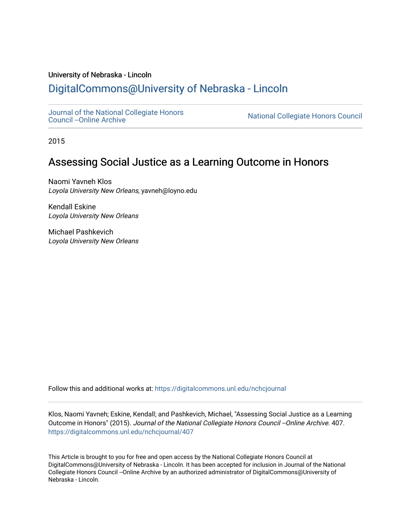#### University of Nebraska - Lincoln

# [DigitalCommons@University of Nebraska - Lincoln](https://digitalcommons.unl.edu/)

[Journal of the National Collegiate Honors](https://digitalcommons.unl.edu/nchcjournal) 

National Collegiate Honors Council

2015

# Assessing Social Justice as a Learning Outcome in Honors

Naomi Yavneh Klos Loyola University New Orleans, yavneh@loyno.edu

Kendall Eskine Loyola University New Orleans

Michael Pashkevich Loyola University New Orleans

Follow this and additional works at: [https://digitalcommons.unl.edu/nchcjournal](https://digitalcommons.unl.edu/nchcjournal?utm_source=digitalcommons.unl.edu%2Fnchcjournal%2F407&utm_medium=PDF&utm_campaign=PDFCoverPages) 

Klos, Naomi Yavneh; Eskine, Kendall; and Pashkevich, Michael, "Assessing Social Justice as a Learning Outcome in Honors" (2015). Journal of the National Collegiate Honors Council --Online Archive. 407. [https://digitalcommons.unl.edu/nchcjournal/407](https://digitalcommons.unl.edu/nchcjournal/407?utm_source=digitalcommons.unl.edu%2Fnchcjournal%2F407&utm_medium=PDF&utm_campaign=PDFCoverPages) 

This Article is brought to you for free and open access by the National Collegiate Honors Council at DigitalCommons@University of Nebraska - Lincoln. It has been accepted for inclusion in Journal of the National Collegiate Honors Council --Online Archive by an authorized administrator of DigitalCommons@University of Nebraska - Lincoln.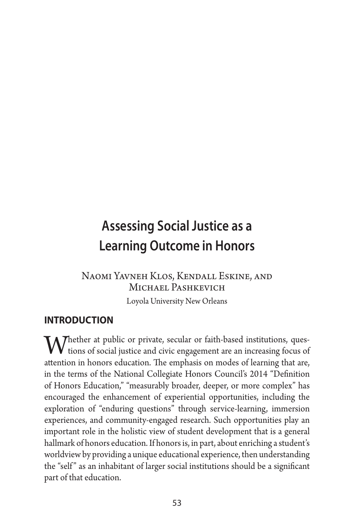# **Assessing Social Justice as a Learning Outcome in Honors**

# Naomi Yavneh Klos, Kendall Eskine, and Michael Pashkevich

Loyola University New Orleans

# **introduction**

Whether at public or private, secular or faith-based institutions, ques-<br>tions of social justice and civic engagement are an increasing focus of<br>the stration in honors of vertice. The emphasis or modes of location that are attention in honors education. The emphasis on modes of learning that are, in the terms of the National Collegiate Honors Council's 2014 "Definition of Honors Education," "measurably broader, deeper, or more complex" has encouraged the enhancement of experiential opportunities, including the exploration of "enduring questions" through service-learning, immersion experiences, and community-engaged research. Such opportunities play an important role in the holistic view of student development that is a general hallmark of honors education. If honors is, in part, about enriching a student's worldview by providing a unique educational experience, then understanding the "self" as an inhabitant of larger social institutions should be a significant part of that education.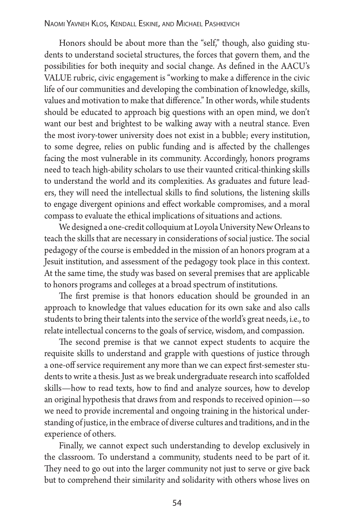Honors should be about more than the "self," though, also guiding students to understand societal structures, the forces that govern them, and the possibilities for both inequity and social change. As defined in the AACU's VALUE rubric, civic engagement is "working to make a difference in the civic life of our communities and developing the combination of knowledge, skills, values and motivation to make that difference." In other words, while students should be educated to approach big questions with an open mind, we don't want our best and brightest to be walking away with a neutral stance. Even the most ivory-tower university does not exist in a bubble; every institution, to some degree, relies on public funding and is affected by the challenges facing the most vulnerable in its community. Accordingly, honors programs need to teach high-ability scholars to use their vaunted critical-thinking skills to understand the world and its complexities. As graduates and future leaders, they will need the intellectual skills to find solutions, the listening skills to engage divergent opinions and effect workable compromises, and a moral compass to evaluate the ethical implications of situations and actions.

We designed a one-credit colloquium at Loyola University New Orleans to teach the skills that are necessary in considerations of social justice. The social pedagogy of the course is embedded in the mission of an honors program at a Jesuit institution, and assessment of the pedagogy took place in this context. At the same time, the study was based on several premises that are applicable to honors programs and colleges at a broad spectrum of institutions.

The first premise is that honors education should be grounded in an approach to knowledge that values education for its own sake and also calls students to bring their talents into the service of the world's great needs, i.e., to relate intellectual concerns to the goals of service, wisdom, and compassion.

The second premise is that we cannot expect students to acquire the requisite skills to understand and grapple with questions of justice through a one-off service requirement any more than we can expect first-semester students to write a thesis. Just as we break undergraduate research into scaffolded skills—how to read texts, how to find and analyze sources, how to develop an original hypothesis that draws from and responds to received opinion—so we need to provide incremental and ongoing training in the historical understanding of justice, in the embrace of diverse cultures and traditions, and in the experience of others.

Finally, we cannot expect such understanding to develop exclusively in the classroom. To understand a community, students need to be part of it. They need to go out into the larger community not just to serve or give back but to comprehend their similarity and solidarity with others whose lives on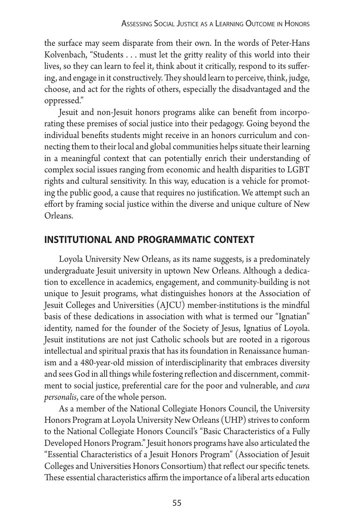the surface may seem disparate from their own. In the words of Peter-Hans Kolvenbach, "Students ... must let the gritty reality of this world into their lives, so they can learn to feel it, think about it critically, respond to its suffering, and engage in it constructively. They should learn to perceive, think, judge, choose, and act for the rights of others, especially the disadvantaged and the oppressed."

Jesuit and non-Jesuit honors programs alike can benefit from incorporating these premises of social justice into their pedagogy. Going beyond the individual benefits students might receive in an honors curriculum and connecting them to their local and global communities helps situate their learning in a meaningful context that can potentially enrich their understanding of complex social issues ranging from economic and health disparities to LGBT rights and cultural sensitivity. In this way, education is a vehicle for promoting the public good, a cause that requires no justification. We attempt such an effort by framing social justice within the diverse and unique culture of New Orleans.

### **institutional and programmatic context**

Loyola University New Orleans, as its name suggests, is a predominately undergraduate Jesuit university in uptown New Orleans. Although a dedication to excellence in academics, engagement, and community-building is not unique to Jesuit programs, what distinguishes honors at the Association of Jesuit Colleges and Universities (AJCU) member-institutions is the mindful basis of these dedications in association with what is termed our "Ignatian" identity, named for the founder of the Society of Jesus, Ignatius of Loyola. Jesuit institutions are not just Catholic schools but are rooted in a rigorous intellectual and spiritual praxis that has its foundation in Renaissance humanism and a 480-year-old mission of interdisciplinarity that embraces diversity and sees God in all things while fostering reflection and discernment, commitment to social justice, preferential care for the poor and vulnerable, and *cura personalis*, care of the whole person.

As a member of the National Collegiate Honors Council, the University Honors Program at Loyola University New Orleans (UHP) strives to conform to the National Collegiate Honors Council's "Basic Characteristics of a Fully Developed Honors Program." Jesuit honors programs have also articulated the "Essential Characteristics of a Jesuit Honors Program" (Association of Jesuit Colleges and Universities Honors Consortium) that reflect our specific tenets. These essential characteristics affirm the importance of a liberal arts education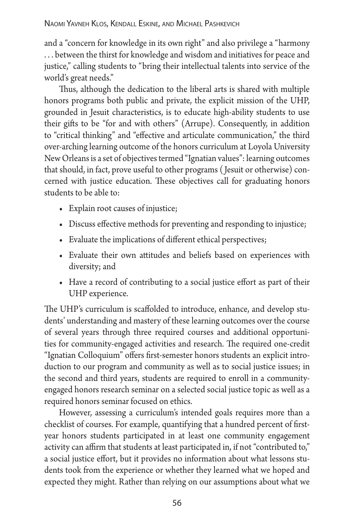and a "concern for knowledge in its own right" and also privilege a "harmony ... between the thirst for knowledge and wisdom and initiatives for peace and justice," calling students to "bring their intellectual talents into service of the world's great needs."

Thus, although the dedication to the liberal arts is shared with multiple honors programs both public and private, the explicit mission of the UHP, grounded in Jesuit characteristics, is to educate high-ability students to use their gifts to be "for and with others" (Arrupe). Consequently, in addition to "critical thinking" and "effective and articulate communication," the third over-arching learning outcome of the honors curriculum at Loyola University New Orleans is a set of objectives termed "Ignatian values": learning outcomes that should, in fact, prove useful to other programs ( Jesuit or otherwise) concerned with justice education. These objectives call for graduating honors students to be able to:

- **•**  Explain root causes of injustice;
- **•**  Discuss effective methods for preventing and responding to injustice;
- Evaluate the implications of different ethical perspectives;
- **•**  Evaluate their own attitudes and beliefs based on experiences with diversity; and
- Have a record of contributing to a social justice effort as part of their UHP experience.

The UHP's curriculum is scaffolded to introduce, enhance, and develop students' understanding and mastery of these learning outcomes over the course of several years through three required courses and additional opportunities for community-engaged activities and research. The required one-credit "Ignatian Colloquium" offers first-semester honors students an explicit introduction to our program and community as well as to social justice issues; in the second and third years, students are required to enroll in a communityengaged honors research seminar on a selected social justice topic as well as a required honors seminar focused on ethics.

However, assessing a curriculum's intended goals requires more than a checklist of courses. For example, quantifying that a hundred percent of firstyear honors students participated in at least one community engagement activity can affirm that students at least participated in, if not "contributed to," a social justice effort, but it provides no information about what lessons students took from the experience or whether they learned what we hoped and expected they might. Rather than relying on our assumptions about what we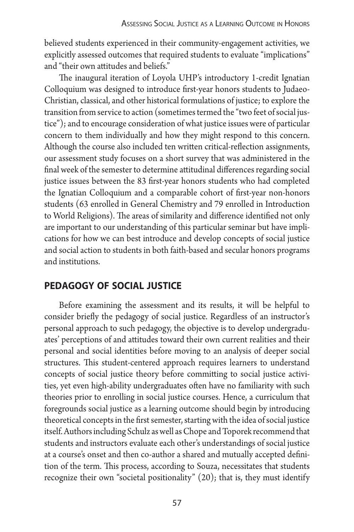believed students experienced in their community-engagement activities, we explicitly assessed outcomes that required students to evaluate "implications" and "their own attitudes and beliefs."

The inaugural iteration of Loyola UHP's introductory 1-credit Ignatian Colloquium was designed to introduce first-year honors students to Judaeo-Christian, classical, and other historical formulations of justice; to explore the transition from service to action (sometimes termed the "two feet of social justice"); and to encourage consideration of what justice issues were of particular concern to them individually and how they might respond to this concern. Although the course also included ten written critical-reflection assignments, our assessment study focuses on a short survey that was administered in the final week of the semester to determine attitudinal differences regarding social justice issues between the 83 first-year honors students who had completed the Ignatian Colloquium and a comparable cohort of first-year non-honors students (63 enrolled in General Chemistry and 79 enrolled in Introduction to World Religions). The areas of similarity and difference identified not only are important to our understanding of this particular seminar but have implications for how we can best introduce and develop concepts of social justice and social action to students in both faith-based and secular honors programs and institutions.

### **pedagogy of social justice**

Before examining the assessment and its results, it will be helpful to consider briefly the pedagogy of social justice. Regardless of an instructor's personal approach to such pedagogy, the objective is to develop undergraduates' perceptions of and attitudes toward their own current realities and their personal and social identities before moving to an analysis of deeper social structures. This student-centered approach requires learners to understand concepts of social justice theory before committing to social justice activities, yet even high-ability undergraduates often have no familiarity with such theories prior to enrolling in social justice courses. Hence, a curriculum that foregrounds social justice as a learning outcome should begin by introducing theoretical concepts in the first semester, starting with the idea of social justice itself. Authors including Schulz as well as Chope and Toporek recommend that students and instructors evaluate each other's understandings of social justice at a course's onset and then co-author a shared and mutually accepted definition of the term. This process, according to Souza, necessitates that students recognize their own "societal positionality" (20); that is, they must identify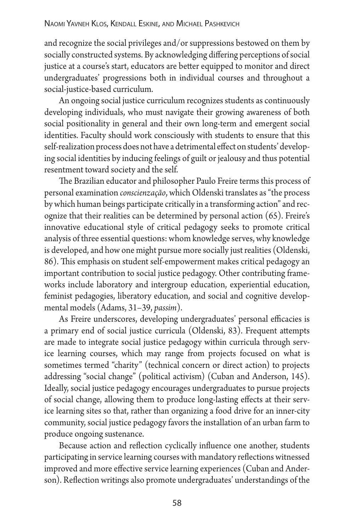and recognize the social privileges and/or suppressions bestowed on them by socially constructed systems. By acknowledging differing perceptions of social justice at a course's start, educators are better equipped to monitor and direct undergraduates' progressions both in individual courses and throughout a social-justice-based curriculum.

An ongoing social justice curriculum recognizes students as continuously developing individuals, who must navigate their growing awareness of both social positionality in general and their own long-term and emergent social identities. Faculty should work consciously with students to ensure that this self-realization process does not have a detrimental effect on students' developing social identities by inducing feelings of guilt or jealousy and thus potential resentment toward society and the self.

The Brazilian educator and philosopher Paulo Freire terms this process of personal examination *conscienzação*, which Oldenski translates as "the process by which human beings participate critically in a transforming action" and recognize that their realities can be determined by personal action (65). Freire's innovative educational style of critical pedagogy seeks to promote critical analysis of three essential questions: whom knowledge serves, why knowledge is developed, and how one might pursue more socially just realities (Oldenski, 86). This emphasis on student self-empowerment makes critical pedagogy an important contribution to social justice pedagogy. Other contributing frameworks include laboratory and intergroup education, experiential education, feminist pedagogies, liberatory education, and social and cognitive developmental models (Adams, 31–39, *passim*).

As Freire underscores, developing undergraduates' personal efficacies is a primary end of social justice curricula (Oldenski, 83). Frequent attempts are made to integrate social justice pedagogy within curricula through service learning courses, which may range from projects focused on what is sometimes termed "charity" (technical concern or direct action) to projects addressing "social change" (political activism) (Cuban and Anderson, 145). Ideally, social justice pedagogy encourages undergraduates to pursue projects of social change, allowing them to produce long-lasting effects at their service learning sites so that, rather than organizing a food drive for an inner-city community, social justice pedagogy favors the installation of an urban farm to produce ongoing sustenance.

Because action and reflection cyclically influence one another, students participating in service learning courses with mandatory reflections witnessed improved and more effective service learning experiences (Cuban and Anderson). Reflection writings also promote undergraduates' understandings of the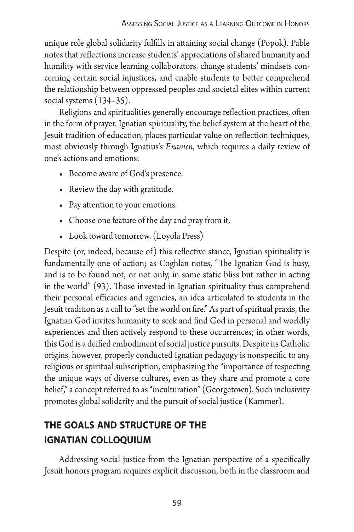unique role global solidarity fulfills in attaining social change (Popok). Pable notes that reflections increase students' appreciations of shared humanity and humility with service learning collaborators, change students' mindsets concerning certain social injustices, and enable students to better comprehend the relationship between oppressed peoples and societal elites within current social systems (134–35).

Religions and spiritualities generally encourage reflection practices, often in the form of prayer. Ignatian spirituality, the belief system at the heart of the Jesuit tradition of education, places particular value on reflection techniques, most obviously through Ignatius's *Examen*, which requires a daily review of one's actions and emotions:

- Become aware of God's presence.
- **•**  Review the day with gratitude.
- Pay attention to your emotions.
- **•**  Choose one feature of the day and pray from it.
- Look toward tomorrow. (Loyola Press)

Despite (or, indeed, because of) this reflective stance, Ignatian spirituality is fundamentally one of action; as Coghlan notes, "The Ignatian God is busy, and is to be found not, or not only, in some static bliss but rather in acting in the world" (93). Those invested in Ignatian spirituality thus comprehend their personal efficacies and agencies, an idea articulated to students in the Jesuit tradition as a call to "set the world on fire." As part of spiritual praxis, the Ignatian God invites humanity to seek and find God in personal and worldly experiences and then actively respond to these occurrences; in other words, this God is a deified embodiment of social justice pursuits. Despite its Catholic origins, however, properly conducted Ignatian pedagogy is nonspecific to any religious or spiritual subscription, emphasizing the "importance of respecting the unique ways of diverse cultures, even as they share and promote a core belief," a concept referred to as "inculturation" (Georgetown). Such inclusivity promotes global solidarity and the pursuit of social justice (Kammer).

# **the goals and structure of the ignatian colloquium**

Addressing social justice from the Ignatian perspective of a specifically Jesuit honors program requires explicit discussion, both in the classroom and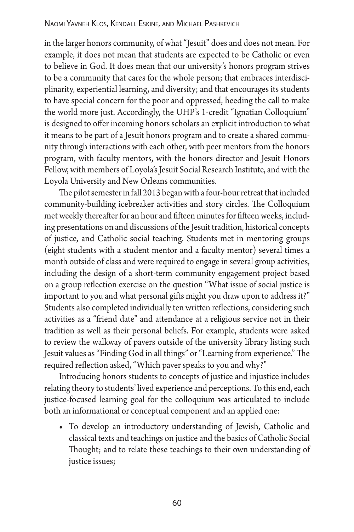in the larger honors community, of what "Jesuit" does and does not mean. For example, it does not mean that students are expected to be Catholic or even to believe in God. It does mean that our university's honors program strives to be a community that cares for the whole person; that embraces interdisciplinarity, experiential learning, and diversity; and that encourages its students to have special concern for the poor and oppressed, heeding the call to make the world more just. Accordingly, the UHP's 1-credit "Ignatian Colloquium" is designed to offer incoming honors scholars an explicit introduction to what it means to be part of a Jesuit honors program and to create a shared community through interactions with each other, with peer mentors from the honors program, with faculty mentors, with the honors director and Jesuit Honors Fellow, with members of Loyola's Jesuit Social Research Institute, and with the Loyola University and New Orleans communities.

The pilot semester in fall 2013 began with a four-hour retreat that included community-building icebreaker activities and story circles. The Colloquium met weekly thereafter for an hour and fifteen minutes for fifteen weeks, including presentations on and discussions of the Jesuit tradition, historical concepts of justice, and Catholic social teaching. Students met in mentoring groups (eight students with a student mentor and a faculty mentor) several times a month outside of class and were required to engage in several group activities, including the design of a short-term community engagement project based on a group reflection exercise on the question "What issue of social justice is important to you and what personal gifts might you draw upon to address it?" Students also completed individually ten written reflections, considering such activities as a "friend date" and attendance at a religious service not in their tradition as well as their personal beliefs. For example, students were asked to review the walkway of pavers outside of the university library listing such Jesuit values as "Finding God in all things" or "Learning from experience." The required reflection asked, "Which paver speaks to you and why?"

Introducing honors students to concepts of justice and injustice includes relating theory to students' lived experience and perceptions. To this end, each justice-focused learning goal for the colloquium was articulated to include both an informational or conceptual component and an applied one:

**•**  To develop an introductory understanding of Jewish, Catholic and classical texts and teachings on justice and the basics of Catholic Social Thought; and to relate these teachings to their own understanding of justice issues;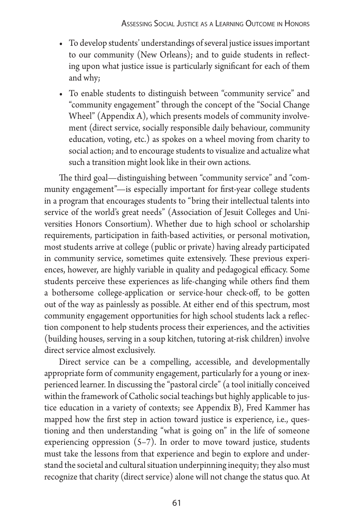- **•**  To develop students' understandings of several justice issues important to our community (New Orleans); and to guide students in reflecting upon what justice issue is particularly significant for each of them and why;
- **•**  To enable students to distinguish between "community service" and "community engagement" through the concept of the "Social Change Wheel" (Appendix A), which presents models of community involvement (direct service, socially responsible daily behaviour, community education, voting, etc.) as spokes on a wheel moving from charity to social action; and to encourage students to visualize and actualize what such a transition might look like in their own actions.

The third goal—distinguishing between "community service" and "community engagement"—is especially important for first-year college students in a program that encourages students to "bring their intellectual talents into service of the world's great needs" (Association of Jesuit Colleges and Universities Honors Consortium). Whether due to high school or scholarship requirements, participation in faith-based activities, or personal motivation, most students arrive at college (public or private) having already participated in community service, sometimes quite extensively. These previous experiences, however, are highly variable in quality and pedagogical efficacy. Some students perceive these experiences as life-changing while others find them a bothersome college-application or service-hour check-off, to be gotten out of the way as painlessly as possible. At either end of this spectrum, most community engagement opportunities for high school students lack a reflection component to help students process their experiences, and the activities (building houses, serving in a soup kitchen, tutoring at-risk children) involve direct service almost exclusively.

Direct service can be a compelling, accessible, and developmentally appropriate form of community engagement, particularly for a young or inexperienced learner. In discussing the "pastoral circle" (a tool initially conceived within the framework of Catholic social teachings but highly applicable to justice education in a variety of contexts; see Appendix B), Fred Kammer has mapped how the first step in action toward justice is experience, i.e., questioning and then understanding "what is going on" in the life of someone experiencing oppression  $(5-7)$ . In order to move toward justice, students must take the lessons from that experience and begin to explore and understand the societal and cultural situation underpinning inequity; they also must recognize that charity (direct service) alone will not change the status quo. At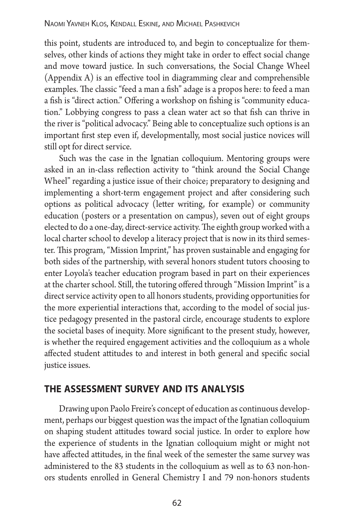this point, students are introduced to, and begin to conceptualize for themselves, other kinds of actions they might take in order to effect social change and move toward justice. In such conversations, the Social Change Wheel (Appendix A) is an effective tool in diagramming clear and comprehensible examples. The classic "feed a man a fish" adage is a propos here: to feed a man a fish is "direct action." Offering a workshop on fishing is "community education." Lobbying congress to pass a clean water act so that fish can thrive in the river is "political advocacy." Being able to conceptualize such options is an important first step even if, developmentally, most social justice novices will still opt for direct service.

Such was the case in the Ignatian colloquium. Mentoring groups were asked in an in-class reflection activity to "think around the Social Change Wheel" regarding a justice issue of their choice; preparatory to designing and implementing a short-term engagement project and after considering such options as political advocacy (letter writing, for example) or community education (posters or a presentation on campus), seven out of eight groups elected to do a one-day, direct-service activity. The eighth group worked with a local charter school to develop a literacy project that is now in its third semester. This program, "Mission Imprint," has proven sustainable and engaging for both sides of the partnership, with several honors student tutors choosing to enter Loyola's teacher education program based in part on their experiences at the charter school. Still, the tutoring offered through "Mission Imprint" is a direct service activity open to all honors students, providing opportunities for the more experiential interactions that, according to the model of social justice pedagogy presented in the pastoral circle, encourage students to explore the societal bases of inequity. More significant to the present study, however, is whether the required engagement activities and the colloquium as a whole affected student attitudes to and interest in both general and specific social justice issues.

# **the assessment survey and its analysis**

Drawing upon Paolo Freire's concept of education as continuous development, perhaps our biggest question was the impact of the Ignatian colloquium on shaping student attitudes toward social justice. In order to explore how the experience of students in the Ignatian colloquium might or might not have affected attitudes, in the final week of the semester the same survey was administered to the 83 students in the colloquium as well as to 63 non-honors students enrolled in General Chemistry I and 79 non-honors students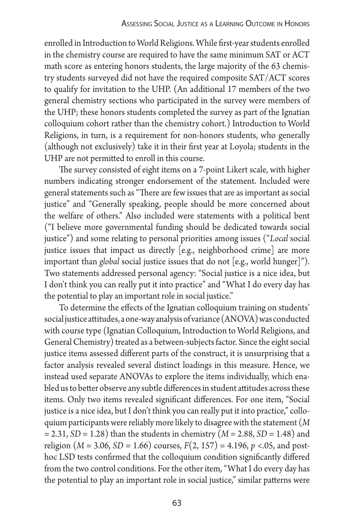enrolled in Introduction to World Religions. While first-year students enrolled in the chemistry course are required to have the same minimum SAT or ACT math score as entering honors students, the large majority of the 63 chemistry students surveyed did not have the required composite SAT/ACT scores to qualify for invitation to the UHP. (An additional 17 members of the two general chemistry sections who participated in the survey were members of the UHP; these honors students completed the survey as part of the Ignatian colloquium cohort rather than the chemistry cohort.) Introduction to World Religions, in turn, is a requirement for non-honors students, who generally (although not exclusively) take it in their first year at Loyola; students in the UHP are not permitted to enroll in this course.

The survey consisted of eight items on a 7-point Likert scale, with higher numbers indicating stronger endorsement of the statement. Included were general statements such as "There are few issues that are as important as social justice" and "Generally speaking, people should be more concerned about the welfare of others." Also included were statements with a political bent ("I believe more governmental funding should be dedicated towards social justice") and some relating to personal priorities among issues ("*Local* social justice issues that impact us directly [e.g., neighborhood crime] are more important than *global* social justice issues that do not [e.g., world hunger]"). Two statements addressed personal agency: "Social justice is a nice idea, but I don't think you can really put it into practice" and "What I do every day has the potential to play an important role in social justice."

To determine the effects of the Ignatian colloquium training on students' social justice attitudes, a one-way analysis of variance (ANOVA) was conducted with course type (Ignatian Colloquium, Introduction to World Religions, and General Chemistry) treated as a between-subjects factor. Since the eight social justice items assessed different parts of the construct, it is unsurprising that a factor analysis revealed several distinct loadings in this measure. Hence, we instead used separate ANOVAs to explore the items individually, which enabled us to better observe any subtle differences in student attitudes across these items. Only two items revealed significant differences. For one item, "Social justice is a nice idea, but I don't think you can really put it into practice," colloquium participants were reliably more likely to disagree with the statement (*M* = 2.31, *SD* = 1.28) than the students in chemistry (*M* = 2.88, *SD* = 1.48) and religion ( $M = 3.06$ ,  $SD = 1.66$ ) courses,  $F(2, 157) = 4.196$ ,  $p < 0.05$ , and posthoc LSD tests confirmed that the colloquium condition significantly differed from the two control conditions. For the other item, "What I do every day has the potential to play an important role in social justice," similar patterns were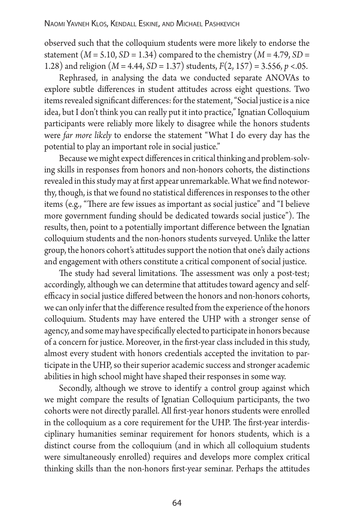observed such that the colloquium students were more likely to endorse the statement  $(M = 5.10, SD = 1.34)$  compared to the chemistry  $(M = 4.79, SD =$ 1.28) and religion (*M* = 4.44, *SD* = 1.37) students, *F*(2, 157) = 3.556, *p* <.05.

Rephrased, in analysing the data we conducted separate ANOVAs to explore subtle differences in student attitudes across eight questions. Two items revealed significant differences: for the statement, "Social justice is a nice idea, but I don't think you can really put it into practice," Ignatian Colloquium participants were reliably more likely to disagree while the honors students were *far more likely* to endorse the statement "What I do every day has the potential to play an important role in social justice."

Because we might expect differences in critical thinking and problem-solving skills in responses from honors and non-honors cohorts, the distinctions revealed in this study may at first appear unremarkable. What we find noteworthy, though, is that we found no statistical differences in responses to the other items (e.g., "There are few issues as important as social justice" and "I believe more government funding should be dedicated towards social justice"). The results, then, point to a potentially important difference between the Ignatian colloquium students and the non-honors students surveyed. Unlike the latter group, the honors cohort's attitudes support the notion that one's daily actions and engagement with others constitute a critical component of social justice.

The study had several limitations. The assessment was only a post-test; accordingly, although we can determine that attitudes toward agency and selfefficacy in social justice differed between the honors and non-honors cohorts, we can only infer that the difference resulted from the experience of the honors colloquium. Students may have entered the UHP with a stronger sense of agency, and some may have specifically elected to participate in honors because of a concern for justice. Moreover, in the first-year class included in this study, almost every student with honors credentials accepted the invitation to participate in the UHP, so their superior academic success and stronger academic abilities in high school might have shaped their responses in some way.

Secondly, although we strove to identify a control group against which we might compare the results of Ignatian Colloquium participants, the two cohorts were not directly parallel. All first-year honors students were enrolled in the colloquium as a core requirement for the UHP. The first-year interdisciplinary humanities seminar requirement for honors students, which is a distinct course from the colloquium (and in which all colloquium students were simultaneously enrolled) requires and develops more complex critical thinking skills than the non-honors first-year seminar. Perhaps the attitudes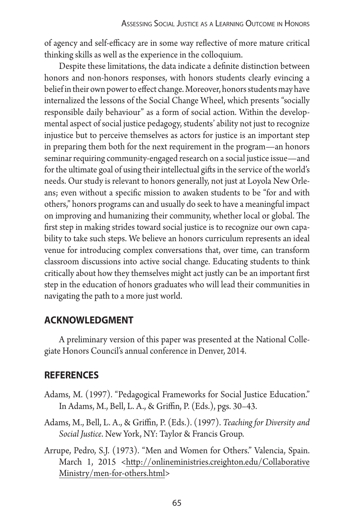of agency and self-efficacy are in some way reflective of more mature critical thinking skills as well as the experience in the colloquium.

Despite these limitations, the data indicate a definite distinction between honors and non-honors responses, with honors students clearly evincing a belief in their own power to effect change. Moreover, honors students may have internalized the lessons of the Social Change Wheel, which presents "socially responsible daily behaviour" as a form of social action. Within the developmental aspect of social justice pedagogy, students' ability not just to recognize injustice but to perceive themselves as actors for justice is an important step in preparing them both for the next requirement in the program—an honors seminar requiring community-engaged research on a social justice issue—and for the ultimate goal of using their intellectual gifts in the service of the world's needs. Our study is relevant to honors generally, not just at Loyola New Orleans; even without a specific mission to awaken students to be "for and with others," honors programs can and usually do seek to have a meaningful impact on improving and humanizing their community, whether local or global. The first step in making strides toward social justice is to recognize our own capability to take such steps. We believe an honors curriculum represents an ideal venue for introducing complex conversations that, over time, can transform classroom discussions into active social change. Educating students to think critically about how they themselves might act justly can be an important first step in the education of honors graduates who will lead their communities in navigating the path to a more just world.

# **acknowledgment**

A preliminary version of this paper was presented at the National Collegiate Honors Council's annual conference in Denver, 2014.

# **references**

- Adams, M. (1997). "Pedagogical Frameworks for Social Justice Education." In Adams, M., Bell, L. A., & Griffin, P. (Eds.), pgs. 30–43.
- Adams, M., Bell, L. A., & Griffin, P. (Eds.). (1997). *Teaching for Diversity and Social Justice*. New York, NY: Taylor & Francis Group.
- Arrupe, Pedro, S.J. (1973). "Men and Women for Others." Valencia, Spain. March 1, 2015 <http://onlineministries.creighton.edu/Collaborative Ministry/men-for-others.html>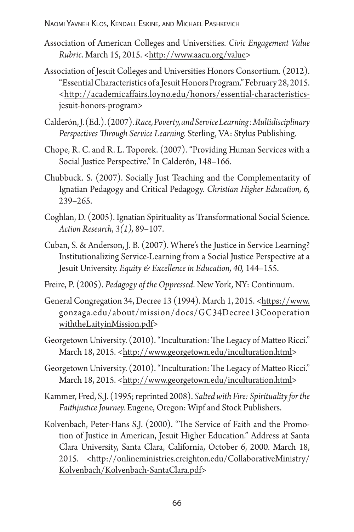- Association of American Colleges and Universities. *Civic Engagement Value Rubric*. March 15, 2015. <http://www.aacu.org/value>
- Association of Jesuit Colleges and Universities Honors Consortium. (2012). "Essential Characteristics of a Jesuit Honors Program." February 28, 2015. <http://academicaffairs.loyno.edu/honors/essential-characteristicsjesuit-honors-program>
- Calderón, J. (Ed.). (2007).*Race, Poverty, and Service Learning: Multidisciplinary Perspectives Through Service Learning.* Sterling, VA: Stylus Publishing.
- Chope, R. C. and R. L. Toporek. (2007). "Providing Human Services with a Social Justice Perspective." In Calderón, 148–166.
- Chubbuck. S. (2007). Socially Just Teaching and the Complementarity of Ignatian Pedagogy and Critical Pedagogy. *Christian Higher Education, 6,*  239–265.
- Coghlan, D. (2005). Ignatian Spirituality as Transformational Social Science. *Action Research, 3(1),* 89–107.
- Cuban, S. & Anderson, J. B. (2007). Where's the Justice in Service Learning? Institutionalizing Service-Learning from a Social Justice Perspective at a Jesuit University. *Equity & Excellence in Education, 40,* 144–155.
- Freire, P. (2005). *Pedagogy of the Oppressed*. New York, NY: Continuum.
- General Congregation 34, Decree 13 (1994). March 1, 2015. <https://www. gonzaga.edu/about/mission/docs/GC34Decree13Cooperation withtheLaityinMission.pdf>
- Georgetown University. (2010). "Inculturation: The Legacy of Matteo Ricci." March 18, 2015. <http://www.georgetown.edu/inculturation.html>
- Georgetown University. (2010). "Inculturation: The Legacy of Matteo Ricci." March 18, 2015. <http://www.georgetown.edu/inculturation.html>
- Kammer, Fred, S.J. (1995; reprinted 2008). *Salted with Fire: Spirituality for the Faithjustice Journey.* Eugene, Oregon: Wipf and Stock Publishers.
- Kolvenbach, Peter-Hans S.J. (2000). "The Service of Faith and the Promotion of Justice in American, Jesuit Higher Education." Address at Santa Clara University, Santa Clara, California, October 6, 2000. March 18, 2015. <http://onlineministries.creighton.edu/CollaborativeMinistry/ Kolvenbach/Kolvenbach-SantaClara.pdf>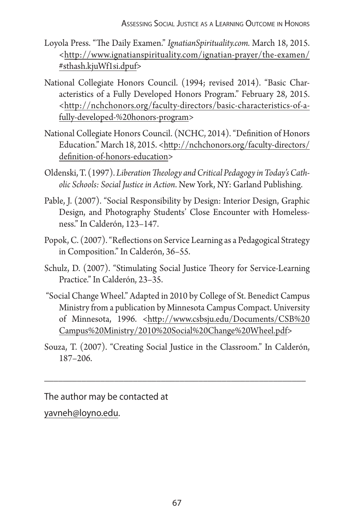- Loyola Press. "The Daily Examen." *IgnatianSpirituality.com.* March 18, 2015. <http://www.ignatianspirituality.com/ignatian-prayer/the-examen/ #sthash.kjuWf1si.dpuf>
- National Collegiate Honors Council. (1994; revised 2014). "Basic Characteristics of a Fully Developed Honors Program." February 28, 2015. <http://nchchonors.org/faculty-directors/basic-characteristics-of-afully-developed-%20honors-program>
- National Collegiate Honors Council. (NCHC, 2014). "Definition of Honors Education." March 18, 2015. < http://nchchonors.org/faculty-directors/ definition-of-honors-education>
- Oldenski, T. (1997). *Liberation Theology and Critical Pedagogy in Today's Catholic Schools: Social Justice in Action*. New York, NY: Garland Publishing.
- Pable, J. (2007). "Social Responsibility by Design: Interior Design, Graphic Design, and Photography Students' Close Encounter with Homelessness." In Calderón, 123–147.
- Popok, C. (2007). "Reflections on Service Learning as a Pedagogical Strategy in Composition." In Calderón, 36–55.
- Schulz, D. (2007). "Stimulating Social Justice Theory for Service-Learning Practice." In Calderón, 23–35.
- "Social Change Wheel." Adapted in 2010 by College of St. Benedict Campus Ministry from a publication by Minnesota Campus Compact. University of Minnesota, 1996. <http://www.csbsju.edu/Documents/CSB%20 Campus%20Ministry/2010%20Social%20Change%20Wheel.pdf>
- Souza, T. (2007). "Creating Social Justice in the Classroom." In Calderón, 187–206.

\_\_\_\_\_\_\_\_\_\_\_\_\_\_\_\_\_\_\_\_\_\_\_\_\_\_\_\_\_\_\_\_\_\_\_\_\_\_\_\_\_\_\_\_\_\_\_\_\_\_\_\_\_\_\_\_

The author may be contacted at yavneh@loyno.edu.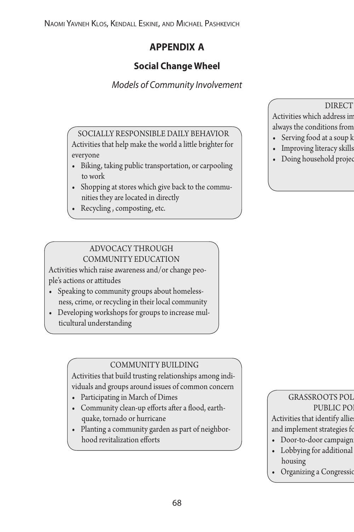# **appendix a**

# **Social Change Wheel**

# *Models of Community Involvement*

SOCIALLY RESPONSIBLE DAILY BEHAVIOR Activities that help make the world a little brighter for everyone

- **•** Biking, taking public transportation, or carpooling to work
- **•** Shopping at stores which give back to the communities they are located in directly
- **•** Recycling , composting, etc.

#### ADVOCACY THROUGH COMMUNITY EDUCATION

Activities which raise awareness and/or change people's actions or attitudes

- **•** Speaking to community groups about homelessness, crime, or recycling in their local community
- **•** Developing workshops for groups to increase multicultural understanding

### COMMUNITY BUILDING

Activities that build trusting relationships among individuals and groups around issues of common concern

- **•** Participating in March of Dimes
- **•** Community clean-up efforts after a flood, earthquake, tornado or hurricane
- **•** Planting a community garden as part of neighborhood revitalization efforts

#### **DIRECT**

Activities which address in always the conditions from

- Serving food at a soup k
- Improving literacy skills
- Doing household project

#### GRASSROOTS POL PUBLIC PO

Activities that identify allie and implement strategies fo

- Door-to-door campaign
- Lobbying for additional housing
- Organizing a Congression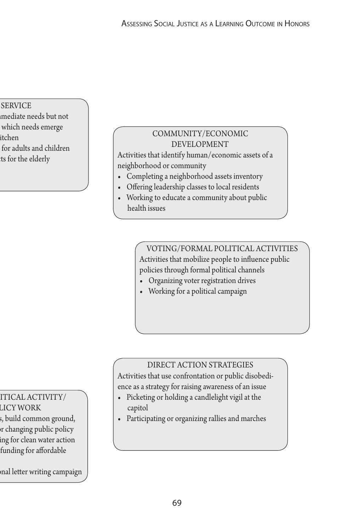#### **SERVICE**

- mediate needs but not
- which needs emerge
- $\mathbf{a}$
- for adults and children
- **ts for the elderly**

### COMMUNITY/ECONOMIC DEVELOPMENT

Activities that identify human/economic assets of a neighborhood or community

- **•** Completing a neighborhood assets inventory
- **•** Offering leadership classes to local residents
- **•** Working to educate a community about public health issues

VOTING/FORMAL POLITICAL ACTIVITIES Activities that mobilize people to influence public policies through formal political channels

- **•** Organizing voter registration drives
- **•** Working for a political campaign

### DIRECT ACTION STRATEGIES

Activities that use confrontation or public disobedience as a strategy for raising awareness of an issue

- **•** Picketing or holding a candlelight vigil at the capitol
- **•** Participating or organizing rallies and marches

# ITICAL ACTIVITY/

LICY WORK s, build common ground, and implement strategies for changing public policy **ing for clean water action •** Lobbying for additional funding for affordable

**•** Inditure writing campaign

69